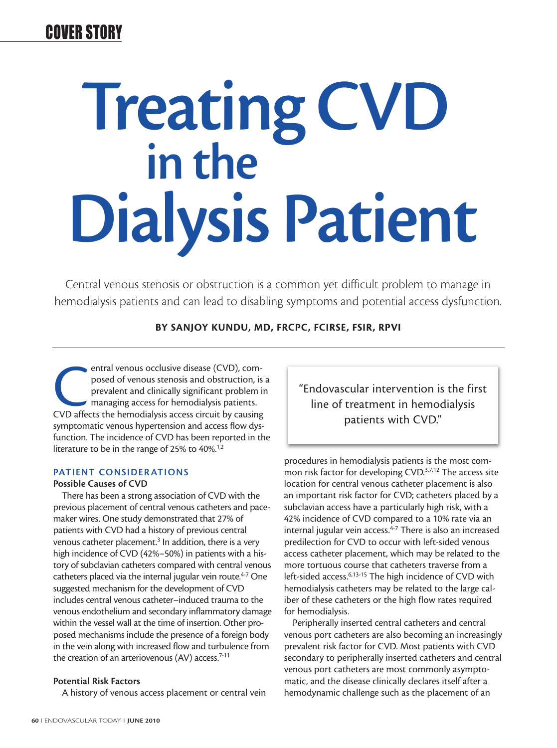# Treating CVD<br>in the Dialysis Patient

Central venous stenosis or obstruction is a common yet difficult problem to manage in hemodialysis patients and can lead to disabling symptoms and potential access dysfunction.

# **BY SANJOY KUNDU, MD, FRCPC, FCIRSE, FSIR, RPVI**

entral venous occlusive disease (CVD), com-<br>posed of venous stenosis and obstruction, is<br>prevalent and clinically significant problem i<br>managing access for hemodialysis patients.<br>CVD affects the hemodialysis access circuit posed of venous stenosis and obstruction, is a prevalent and clinically significant problem in managing access for hemodialysis patients. symptomatic venous hypertension and access flow dysfunction. The incidence of CVD has been reported in the literature to be in the range of 25% to 40%.<sup>1,2</sup>

# PATIENT CONSIDER ATIONS

### Possible Causes of CVD

There has been a strong association of CVD with the previous placement of central venous catheters and pacemaker wires. One study demonstrated that 27% of patients with CVD had a history of previous central venous catheter placement.<sup>3</sup> In addition, there is a very high incidence of CVD (42%–50%) in patients with a history of subclavian catheters compared with central venous catheters placed via the internal jugular vein route.<sup>4-7</sup> One suggested mechanism for the development of CVD includes central venous catheter–induced trauma to the venous endothelium and secondary inflammatory damage within the vessel wall at the time of insertion. Other proposed mechanisms include the presence of a foreign body in the vein along with increased flow and turbulence from the creation of an arteriovenous (AV) access. $7-11$ 

# Potential Risk Factors

A history of venous access placement or central vein

"Endovascular intervention is the first line of treatment in hemodialysis patients with CVD."

procedures in hemodialysis patients is the most common risk factor for developing CVD.<sup>3,7,12</sup> The access site location for central venous catheter placement is also an important risk factor for CVD; catheters placed by a subclavian access have a particularly high risk, with a 42% incidence of CVD compared to a 10% rate via an internal jugular vein access. $4-7$  There is also an increased predilection for CVD to occur with left-sided venous access catheter placement, which may be related to the more tortuous course that catheters traverse from a left-sided access.<sup>6,13-15</sup> The high incidence of CVD with hemodialysis catheters may be related to the large caliber of these catheters or the high flow rates required for hemodialysis.

Peripherally inserted central catheters and central venous port catheters are also becoming an increasingly prevalent risk factor for CVD. Most patients with CVD secondary to peripherally inserted catheters and central venous port catheters are most commonly asymptomatic, and the disease clinically declares itself after a hemodynamic challenge such as the placement of an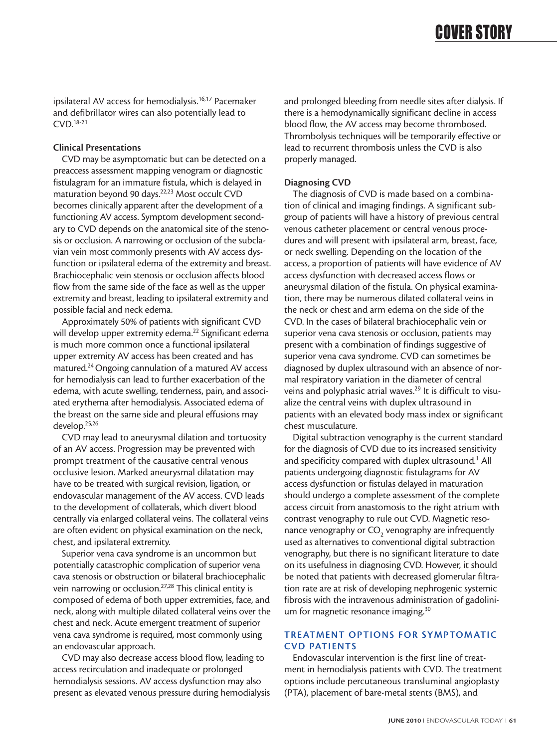ipsilateral AV access for hemodialysis.<sup>16,17</sup> Pacemaker and defibrillator wires can also potentially lead to CVD.18-21

# Clinical Presentations

CVD may be asymptomatic but can be detected on a preaccess assessment mapping venogram or diagnostic fistulagram for an immature fistula, which is delayed in maturation beyond 90 days.22,23 Most occult CVD becomes clinically apparent after the development of a functioning AV access. Symptom development secondary to CVD depends on the anatomical site of the stenosis or occlusion. A narrowing or occlusion of the subclavian vein most commonly presents with AV access dysfunction or ipsilateral edema of the extremity and breast. Brachiocephalic vein stenosis or occlusion affects blood flow from the same side of the face as well as the upper extremity and breast, leading to ipsilateral extremity and possible facial and neck edema.

Approximately 50% of patients with significant CVD will develop upper extremity edema.<sup>22</sup> Significant edema is much more common once a functional ipsilateral upper extremity AV access has been created and has matured.24 Ongoing cannulation of a matured AV access for hemodialysis can lead to further exacerbation of the edema, with acute swelling, tenderness, pain, and associated erythema after hemodialysis. Associated edema of the breast on the same side and pleural effusions may develop.25,26

CVD may lead to aneurysmal dilation and tortuosity of an AV access. Progression may be prevented with prompt treatment of the causative central venous occlusive lesion. Marked aneurysmal dilatation may have to be treated with surgical revision, ligation, or endovascular management of the AV access. CVD leads to the development of collaterals, which divert blood centrally via enlarged collateral veins. The collateral veins are often evident on physical examination on the neck, chest, and ipsilateral extremity.

Superior vena cava syndrome is an uncommon but potentially catastrophic complication of superior vena cava stenosis or obstruction or bilateral brachiocephalic vein narrowing or occlusion.27,28 This clinical entity is composed of edema of both upper extremities, face, and neck, along with multiple dilated collateral veins over the chest and neck. Acute emergent treatment of superior vena cava syndrome is required, most commonly using an endovascular approach.

CVD may also decrease access blood flow, leading to access recirculation and inadequate or prolonged hemodialysis sessions. AV access dysfunction may also present as elevated venous pressure during hemodialysis and prolonged bleeding from needle sites after dialysis. If there is a hemodynamically significant decline in access blood flow, the AV access may become thrombosed. Thrombolysis techniques will be temporarily effective or lead to recurrent thrombosis unless the CVD is also properly managed.

# Diagnosing CVD

The diagnosis of CVD is made based on a combination of clinical and imaging findings. A significant subgroup of patients will have a history of previous central venous catheter placement or central venous procedures and will present with ipsilateral arm, breast, face, or neck swelling. Depending on the location of the access, a proportion of patients will have evidence of AV access dysfunction with decreased access flows or aneurysmal dilation of the fistula. On physical examination, there may be numerous dilated collateral veins in the neck or chest and arm edema on the side of the CVD. In the cases of bilateral brachiocephalic vein or superior vena cava stenosis or occlusion, patients may present with a combination of findings suggestive of superior vena cava syndrome. CVD can sometimes be diagnosed by duplex ultrasound with an absence of normal respiratory variation in the diameter of central veins and polyphasic atrial waves.<sup>29</sup> It is difficult to visualize the central veins with duplex ultrasound in patients with an elevated body mass index or significant chest musculature.

Digital subtraction venography is the current standard for the diagnosis of CVD due to its increased sensitivity and specificity compared with duplex ultrasound.<sup>1</sup> All patients undergoing diagnostic fistulagrams for AV access dysfunction or fistulas delayed in maturation should undergo a complete assessment of the complete access circuit from anastomosis to the right atrium with contrast venography to rule out CVD. Magnetic resonance venography or  $CO<sub>2</sub>$  venography are infrequently used as alternatives to conventional digital subtraction venography, but there is no significant literature to date on its usefulness in diagnosing CVD. However, it should be noted that patients with decreased glomerular filtration rate are at risk of developing nephrogenic systemic fibrosis with the intravenous administration of gadolinium for magnetic resonance imaging.<sup>30</sup>

# TREATMENT OPTIONS FOR SYMPTOMATIC CVD PATIENTS

Endovascular intervention is the first line of treatment in hemodialysis patients with CVD. The treatment options include percutaneous transluminal angioplasty (PTA), placement of bare-metal stents (BMS), and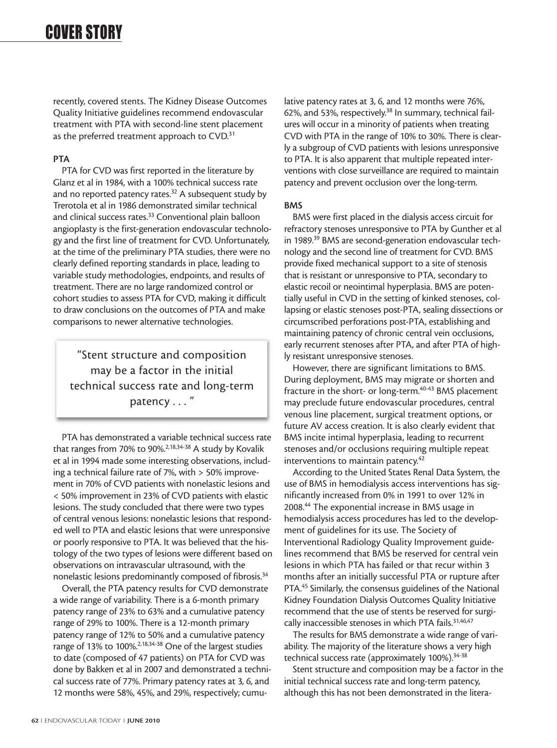recently, covered stents. The Kidney Disease Outcomes Quality Initiative guidelines recommend endovascular treatment with PTA with second-line stent placement as the preferred treatment approach to CVD.<sup>31</sup>

# PTA

PTA for CVD was first reported in the literature by Glanz et al in 1984, with a 100% technical success rate and no reported patency rates.<sup>32</sup> A subsequent study by Trerotola et al in 1986 demonstrated similar technical and clinical success rates.<sup>33</sup> Conventional plain balloon angioplasty is the first-generation endovascular technology and the first line of treatment for CVD. Unfortunately, at the time of the preliminary PTA studies, there were no clearly defined reporting standards in place, leading to variable study methodologies, endpoints, and results of treatment. There are no large randomized control or cohort studies to assess PTA for CVD, making it difficult to draw conclusions on the outcomes of PTA and make comparisons to newer alternative technologies.

"Stent structure and composition may be a factor in the initial technical success rate and long-term patency . . . "

PTA has demonstrated a variable technical success rate that ranges from 70% to 90%.<sup>2,18,34-38</sup> A study by Kovalik et al in 1994 made some interesting observations, including a technical failure rate of 7%, with > 50% improvement in 70% of CVD patients with nonelastic lesions and < 50% improvement in 23% of CVD patients with elastic lesions. The study concluded that there were two types of central venous lesions: nonelastic lesions that responded well to PTA and elastic lesions that were unresponsive or poorly responsive to PTA. It was believed that the histology of the two types of lesions were different based on observations on intravascular ultrasound, with the nonelastic lesions predominantly composed of fibrosis.34

Overall, the PTA patency results for CVD demonstrate a wide range of variability. There is a 6-month primary patency range of 23% to 63% and a cumulative patency range of 29% to 100%. There is a 12-month primary patency range of 12% to 50% and a cumulative patency range of 13% to 100%.2,18,34-38 One of the largest studies to date (composed of 47 patients) on PTA for CVD was done by Bakken et al in 2007 and demonstrated a technical success rate of 77%. Primary patency rates at 3, 6, and 12 months were 58%, 45%, and 29%, respectively; cumulative patency rates at 3, 6, and 12 months were 76%, 62%, and 53%, respectively.<sup>38</sup> In summary, technical failures will occur in a minority of patients when treating CVD with PTA in the range of 10% to 30%. There is clearly a subgroup of CVD patients with lesions unresponsive to PTA. It is also apparent that multiple repeated interventions with close surveillance are required to maintain patency and prevent occlusion over the long-term.

# BMS

BMS were first placed in the dialysis access circuit for refractory stenoses unresponsive to PTA by Gunther et al in 1989.<sup>39</sup> BMS are second-generation endovascular technology and the second line of treatment for CVD. BMS provide fixed mechanical support to a site of stenosis that is resistant or unresponsive to PTA, secondary to elastic recoil or neointimal hyperplasia. BMS are potentially useful in CVD in the setting of kinked stenoses, collapsing or elastic stenoses post-PTA, sealing dissections or circumscribed perforations post-PTA, establishing and maintaining patency of chronic central vein occlusions, early recurrent stenoses after PTA, and after PTA of highly resistant unresponsive stenoses.

However, there are significant limitations to BMS. During deployment, BMS may migrate or shorten and fracture in the short- or long-term.<sup>40-43</sup> BMS placement may preclude future endovascular procedures, central venous line placement, surgical treatment options, or future AV access creation. It is also clearly evident that BMS incite intimal hyperplasia, leading to recurrent stenoses and/or occlusions requiring multiple repeat interventions to maintain patency.<sup>42</sup>

According to the United States Renal Data System, the use of BMS in hemodialysis access interventions has significantly increased from 0% in 1991 to over 12% in 2008.44 The exponential increase in BMS usage in hemodialysis access procedures has led to the development of guidelines for its use. The Society of Interventional Radiology Quality Improvement guidelines recommend that BMS be reserved for central vein lesions in which PTA has failed or that recur within 3 months after an initially successful PTA or rupture after PTA.<sup>45</sup> Similarly, the consensus guidelines of the National Kidney Foundation Dialysis Outcomes Quality Initiative recommend that the use of stents be reserved for surgically inaccessible stenoses in which PTA fails.<sup>31,46,47</sup>

The results for BMS demonstrate a wide range of variability. The majority of the literature shows a very high technical success rate (approximately 100%).<sup>34-38</sup>

Stent structure and composition may be a factor in the initial technical success rate and long-term patency, although this has not been demonstrated in the litera-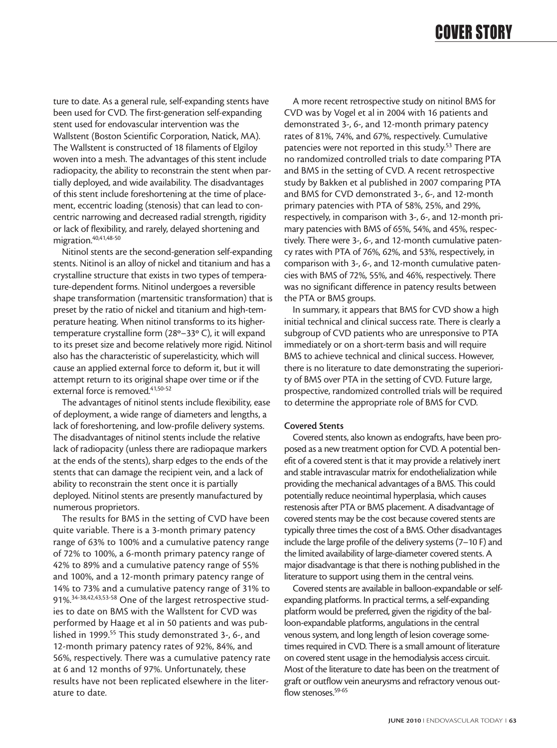ture to date. As a general rule, self-expanding stents have been used for CVD. The first-generation self-expanding stent used for endovascular intervention was the Wallstent (Boston Scientific Corporation, Natick, MA). The Wallstent is constructed of 18 filaments of Elgiloy woven into a mesh. The advantages of this stent include radiopacity, the ability to reconstrain the stent when partially deployed, and wide availability. The disadvantages of this stent include foreshortening at the time of placement, eccentric loading (stenosis) that can lead to concentric narrowing and decreased radial strength, rigidity or lack of flexibility, and rarely, delayed shortening and migration.<sup>40,41,48-50</sup>

Nitinol stents are the second-generation self-expanding stents. Nitinol is an alloy of nickel and titanium and has a crystalline structure that exists in two types of temperature-dependent forms. Nitinol undergoes a reversible shape transformation (martensitic transformation) that is preset by the ratio of nickel and titanium and high-temperature heating. When nitinol transforms to its highertemperature crystalline form (28º–33º C), it will expand to its preset size and become relatively more rigid. Nitinol also has the characteristic of superelasticity, which will cause an applied external force to deform it, but it will attempt return to its original shape over time or if the external force is removed.<sup>41,50-52</sup>

The advantages of nitinol stents include flexibility, ease of deployment, a wide range of diameters and lengths, a lack of foreshortening, and low-profile delivery systems. The disadvantages of nitinol stents include the relative lack of radiopacity (unless there are radiopaque markers at the ends of the stents), sharp edges to the ends of the stents that can damage the recipient vein, and a lack of ability to reconstrain the stent once it is partially deployed. Nitinol stents are presently manufactured by numerous proprietors.

The results for BMS in the setting of CVD have been quite variable. There is a 3-month primary patency range of 63% to 100% and a cumulative patency range of 72% to 100%, a 6-month primary patency range of 42% to 89% and a cumulative patency range of 55% and 100%, and a 12-month primary patency range of 14% to 73% and a cumulative patency range of 31% to 91%.34-38,42,43,53-58 One of the largest retrospective studies to date on BMS with the Wallstent for CVD was performed by Haage et al in 50 patients and was published in 1999.<sup>55</sup> This study demonstrated 3-, 6-, and 12-month primary patency rates of 92%, 84%, and 56%, respectively. There was a cumulative patency rate at 6 and 12 months of 97%. Unfortunately, these results have not been replicated elsewhere in the literature to date.

A more recent retrospective study on nitinol BMS for CVD was by Vogel et al in 2004 with 16 patients and demonstrated 3-, 6-, and 12-month primary patency rates of 81%, 74%, and 67%, respectively. Cumulative patencies were not reported in this study.<sup>53</sup> There are no randomized controlled trials to date comparing PTA and BMS in the setting of CVD. A recent retrospective study by Bakken et al published in 2007 comparing PTA and BMS for CVD demonstrated 3-, 6-, and 12-month primary patencies with PTA of 58%, 25%, and 29%, respectively, in comparison with 3-, 6-, and 12-month primary patencies with BMS of 65%, 54%, and 45%, respectively. There were 3-, 6-, and 12-month cumulative patency rates with PTA of 76%, 62%, and 53%, respectively, in comparison with 3-, 6-, and 12-month cumulative patencies with BMS of 72%, 55%, and 46%, respectively. There was no significant difference in patency results between the PTA or BMS groups.

In summary, it appears that BMS for CVD show a high initial technical and clinical success rate. There is clearly a subgroup of CVD patients who are unresponsive to PTA immediately or on a short-term basis and will require BMS to achieve technical and clinical success. However, there is no literature to date demonstrating the superiority of BMS over PTA in the setting of CVD. Future large, prospective, randomized controlled trials will be required to determine the appropriate role of BMS for CVD.

### Covered Stents

Covered stents, also known as endografts, have been proposed as a new treatment option for CVD. A potential benefit of a covered stent is that it may provide a relatively inert and stable intravascular matrix for endothelialization while providing the mechanical advantages of a BMS. This could potentially reduce neointimal hyperplasia, which causes restenosis after PTA or BMS placement. A disadvantage of covered stents may be the cost because covered stents are typically three times the cost of a BMS. Other disadvantages include the large profile of the delivery systems (7–10 F) and the limited availability of large-diameter covered stents. A major disadvantage is that there is nothing published in the literature to support using them in the central veins.

Covered stents are available in balloon-expandable or selfexpanding platforms. In practical terms, a self-expanding platform would be preferred, given the rigidity of the balloon-expandable platforms, angulations in the central venous system, and long length of lesion coverage sometimes required in CVD. There is a small amount of literature on covered stent usage in the hemodialysis access circuit. Most of the literature to date has been on the treatment of graft or outflow vein aneurysms and refractory venous outflow stenoses.<sup>59-65</sup>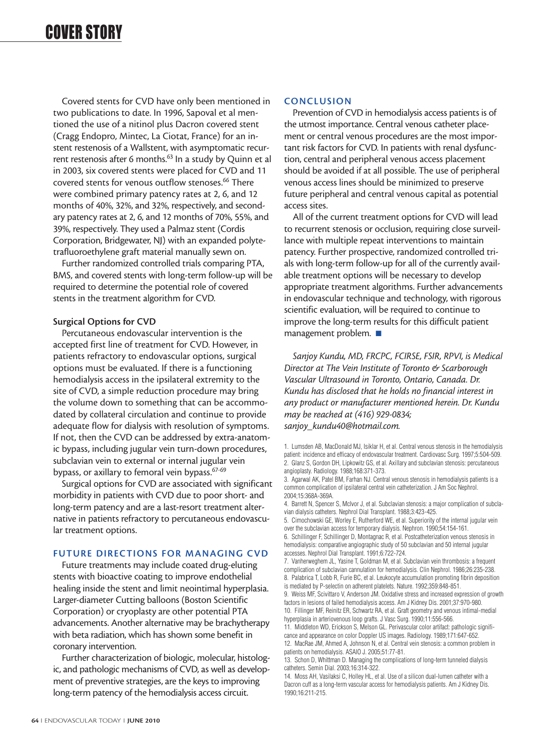Covered stents for CVD have only been mentioned in two publications to date. In 1996, Sapoval et al mentioned the use of a nitinol plus Dacron covered stent (Cragg Endopro, Mintec, La Ciotat, France) for an instent restenosis of a Wallstent, with asymptomatic recurrent restenosis after 6 months.<sup>63</sup> In a study by Quinn et al in 2003, six covered stents were placed for CVD and 11 covered stents for venous outflow stenoses.<sup>66</sup> There were combined primary patency rates at 2, 6, and 12 months of 40%, 32%, and 32%, respectively, and secondary patency rates at 2, 6, and 12 months of 70%, 55%, and 39%, respectively. They used a Palmaz stent (Cordis Corporation, Bridgewater, NJ) with an expanded polytetrafluoroethylene graft material manually sewn on.

Further randomized controlled trials comparing PTA, BMS, and covered stents with long-term follow-up will be required to determine the potential role of covered stents in the treatment algorithm for CVD.

### Surgical Options for CVD

Percutaneous endovascular intervention is the accepted first line of treatment for CVD. However, in patients refractory to endovascular options, surgical options must be evaluated. If there is a functioning hemodialysis access in the ipsilateral extremity to the site of CVD, a simple reduction procedure may bring the volume down to something that can be accommodated by collateral circulation and continue to provide adequate flow for dialysis with resolution of symptoms. If not, then the CVD can be addressed by extra-anatomic bypass, including jugular vein turn-down procedures, subclavian vein to external or internal jugular vein bypass, or axillary to femoral vein bypass.<sup>67-69</sup>

Surgical options for CVD are associated with significant morbidity in patients with CVD due to poor short- and long-term patency and are a last-resort treatment alternative in patients refractory to percutaneous endovascular treatment options.

# FUTURE DIRECTIONS FOR MANAGING CVD

Future treatments may include coated drug-eluting stents with bioactive coating to improve endothelial healing inside the stent and limit neointimal hyperplasia. Larger-diameter Cutting balloons (Boston Scientific Corporation) or cryoplasty are other potential PTA advancements. Another alternative may be brachytherapy with beta radiation, which has shown some benefit in coronary intervention.

Further characterization of biologic, molecular, histologic, and pathologic mechanisms of CVD, as well as development of preventive strategies, are the keys to improving long-term patency of the hemodialysis access circuit.

### **CONCLUSION**

Prevention of CVD in hemodialysis access patients is of the utmost importance. Central venous catheter placement or central venous procedures are the most important risk factors for CVD. In patients with renal dysfunction, central and peripheral venous access placement should be avoided if at all possible. The use of peripheral venous access lines should be minimized to preserve future peripheral and central venous capital as potential access sites.

All of the current treatment options for CVD will lead to recurrent stenosis or occlusion, requiring close surveillance with multiple repeat interventions to maintain patency. Further prospective, randomized controlled trials with long-term follow-up for all of the currently available treatment options will be necessary to develop appropriate treatment algorithms. Further advancements in endovascular technique and technology, with rigorous scientific evaluation, will be required to continue to improve the long-term results for this difficult patient management problem. ■

*Sanjoy Kundu, MD, FRCPC, FCIRSE, FSIR, RPVI, is Medical Director at The Vein Institute of Toronto & Scarborough Vascular Ultrasound in Toronto, Ontario, Canada. Dr. Kundu has disclosed that he holds no financial interest in any product or manufacturer mentioned herein. Dr. Kundu may be reached at (416) 929-0834; sanjoy\_kundu40@hotmail.com.*

5. Cimochowski GE, Worley E, Rutherford WE, et al. Superiority of the internal jugular vein over the subclavian access for temporary dialysis. Nephron. 1990;54:154-161. 6. Schillinger F, Schillinger D, Montagnac R, et al. Postcatheterization venous stenosis in

hemodialysis: comparative angiographic study of 50 subclavian and 50 internal jugular accesses. Nephrol Dial Transplant. 1991;6:722-724. 7. Vanherweghem JL, Yasine T, Goldman M, et al. Subclavian vein thrombosis: a frequent

complication of subclavian cannulation for hemodialysis. Clin Nephrol. 1986;26:235-238. 8. Palabrica T, Lobb R, Furie BC, et al. Leukocyte accumulation promoting fibrin deposition is mediated by P-selectin on adherent platelets. Nature. 1992;359:848-851.

9. Weiss MF, Scivittaro V, Anderson JM. Oxidative stress and increased expression of growth factors in lesions of failed hemodialysis access. Am J Kidney Dis. 2001;37:970-980. 10. Fillinger MF, Reinitz ER, Schwartz RA, et al. Graft geometry and venous intimal-medial

hyperplasia in arteriovenous loop grafts. J Vasc Surg. 1990;11:556-566. 11. Middleton WD, Erickson S, Melson GL. Perivascular color artifact: pathologic signifi-

cance and appearance on color Doppler US images. Radiology. 1989;171:647-652. 12. MacRae JM, Ahmed A, Johnson N, et al. Central vein stenosis: a common problem in patients on hemodialysis. ASAIO J. 2005;51:77-81.

13. Schon D, Whittman D. Managing the complications of long-term tunneled dialysis catheters. Semin Dial. 2003;16:314-322.

14. Moss AH, Vasilaksi C, Holley HL, et al. Use of a silicon dual-lumen catheter with a Dacron cuff as a long-term vascular access for hemodialysis patients. Am J Kidney Dis. 1990;16:211-215.

<sup>1.</sup> Lumsden AB, MacDonald MJ, Isiklar H, et al. Central venous stenosis in the hemodialysis patient: incidence and efficacy of endovascular treatment. Cardiovasc Surg. 1997;5:504-509. 2. Glanz S, Gordon DH, Lipkowitz GS, et al. Axillary and subclavian stenosis: percutaneous angioplasty. Radiology. 1988;168:371-373.

<sup>3.</sup> Agarwal AK, Patel BM, Farhan NJ. Central venous stenosis in hemodialysis patients is a common complication of ipsilateral central vein catheterization. J Am Soc Nephrol. 2004;15:368A-369A.

<sup>4.</sup> Barrett N, Spencer S, McIvor J, et al. Subclavian stenosis: a major complication of subclavian dialysis catheters. Nephrol Dial Transplant. 1988;3:423-425.